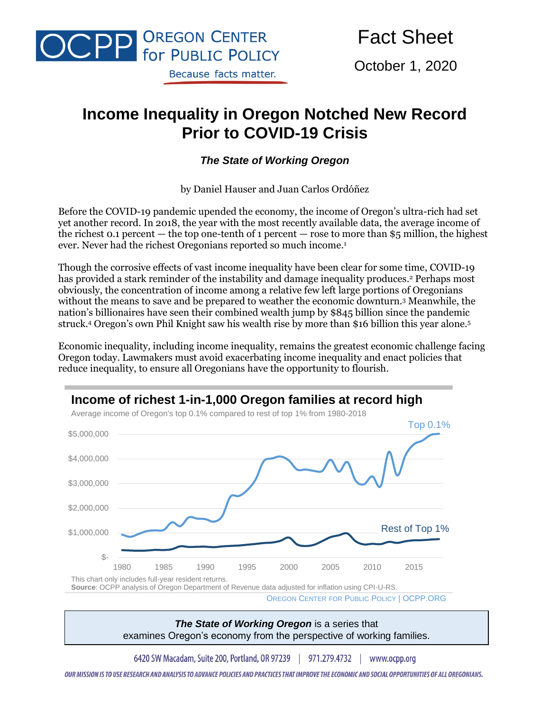

Fact Sheet

October 1, 2020

# **Income Inequality in Oregon Notched New Record Prior to COVID-19 Crisis**

#### *The State of Working Oregon*

by Daniel Hauser and Juan Carlos Ordóñez

Before the COVID-19 pandemic upended the economy, the income of Oregon's ultra-rich had set yet another record. In 2018, the year with the most recently available data, the average income of the richest 0.1 percent — the top one-tenth of 1 percent — rose to more than \$5 million, the highest ever. Never had the richest Oregonians reported so much income. 1

Though the corrosive effects of vast income inequality have been clear for some time, COVID-19 has provided a stark reminder of the instability and damage inequality produces.<sup>2</sup> Perhaps most obviously, the concentration of income among a relative few left large portions of Oregonians without the means to save and be prepared to weather the economic downturn.<sup>3</sup> Meanwhile, the nation's billionaires have seen their combined wealth jump by \$845 billion since the pandemic struck.<sup>4</sup> Oregon's own Phil Knight saw his wealth rise by more than \$16 billion this year alone.<sup>5</sup>

Economic inequality, including income inequality, remains the greatest economic challenge facing Oregon today. Lawmakers must avoid exacerbating income inequality and enact policies that reduce inequality, to ensure all Oregonians have the opportunity to flourish.



*The State of Working Oregon* is a series that examines Oregon's economy from the perspective of working families.

6420 SW Macadam, Suite 200, Portland, OR 97239 | 971.279.4732 | www.ocpp.org

OUR MISSION IS TO USE RESEARCH AND ANALYSIS TO ADVANCE POLICIES AND PRACTICES THAT IMPROVE THE ECONOMIC AND SOCIAL OPPORTUNITIES OF ALL OREGONIANS.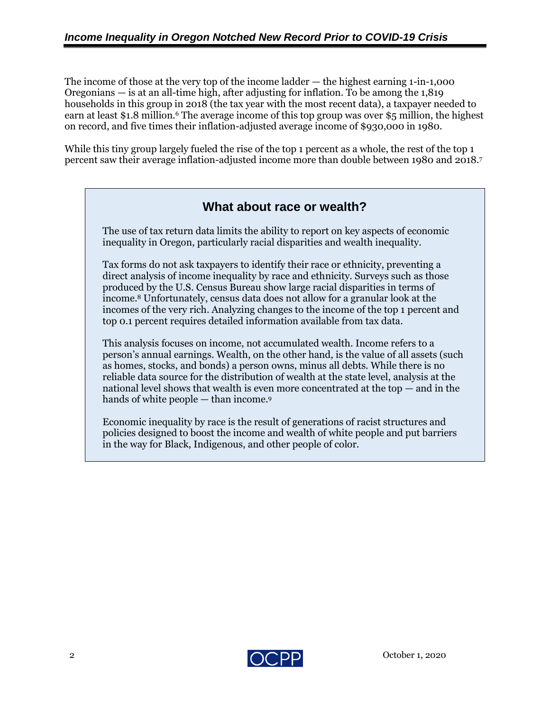The income of those at the very top of the income ladder — the highest earning 1-in-1,000 Oregonians — is at an all-time high, after adjusting for inflation. To be among the 1,819 households in this group in 2018 (the tax year with the most recent data), a taxpayer needed to earn at least \$1.8 million. <sup>6</sup> The average income of this top group was over \$5 million, the highest on record, and five times their inflation-adjusted average income of \$930,000 in 1980.

While this tiny group largely fueled the rise of the top 1 percent as a whole, the rest of the top 1 percent saw their average inflation-adjusted income more than double between 1980 and 2018. 7

## **What about race or wealth?**

The use of tax return data limits the ability to report on key aspects of economic inequality in Oregon, particularly racial disparities and wealth inequality.

Tax forms do not ask taxpayers to identify their race or ethnicity, preventing a direct analysis of income inequality by race and ethnicity. Surveys such as those produced by the U.S. Census Bureau show large racial disparities in terms of income.<sup>8</sup> Unfortunately, census data does not allow for a granular look at the incomes of the very rich. Analyzing changes to the income of the top 1 percent and top 0.1 percent requires detailed information available from tax data.

This analysis focuses on income, not accumulated wealth. Income refers to a person's annual earnings. Wealth, on the other hand, is the value of all assets (such as homes, stocks, and bonds) a person owns, minus all debts. While there is no reliable data source for the distribution of wealth at the state level, analysis at the national level shows that wealth is even more concentrated at the top — and in the hands of white people — than income.<sup>9</sup>

Economic inequality by race is the result of generations of racist structures and policies designed to boost the income and wealth of white people and put barriers in the way for Black, Indigenous, and other people of color.

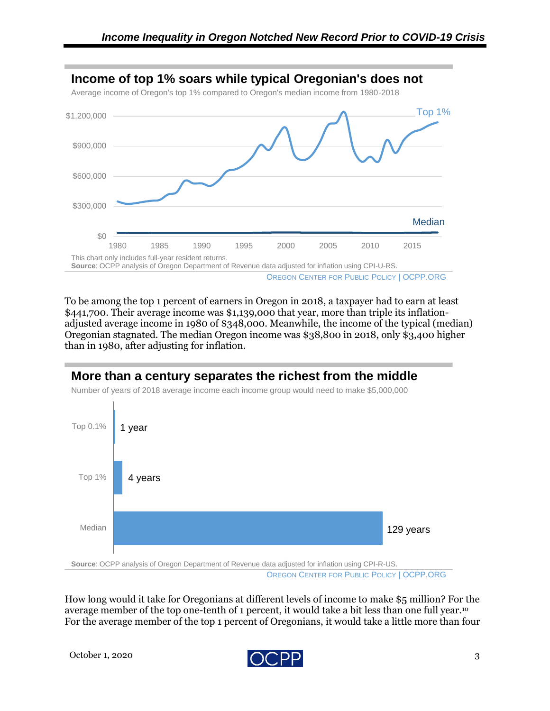

To be among the top 1 percent of earners in Oregon in 2018, a taxpayer had to earn at least \$441,700. Their average income was \$1,139,000 that year, more than triple its inflationadjusted average income in 1980 of \$348,000. Meanwhile, the income of the typical (median) Oregonian stagnated. The median Oregon income was \$38,800 in 2018, only \$3,400 higher than in 1980, after adjusting for inflation.

### **More than a century separates the richest from the middle**





How long would it take for Oregonians at different levels of income to make \$5 million? For the average member of the top one-tenth of 1 percent, it would take a bit less than one full year.<sup>10</sup> For the average member of the top 1 percent of Oregonians, it would take a little more than four

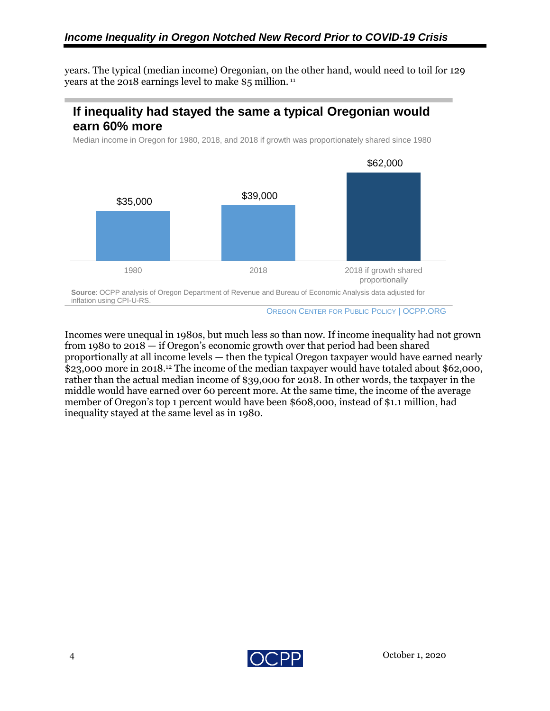years. The typical (median income) Oregonian, on the other hand, would need to toil for 129 years at the 2018 earnings level to make \$5 million. <sup>11</sup>

# **If inequality had stayed the same a typical Oregonian would earn 60% more**

Median income in Oregon for 1980, 2018, and 2018 if growth was proportionately shared since 1980



OREGON CENTER FOR PUBLIC POLICY | OCPP.ORG

Incomes were unequal in 1980s, but much less so than now. If income inequality had not grown from 1980 to 2018 — if Oregon's economic growth over that period had been shared proportionally at all income levels — then the typical Oregon taxpayer would have earned nearly \$23,000 more in 2018. <sup>12</sup> The income of the median taxpayer would have totaled about \$62,000, rather than the actual median income of \$39,000 for 2018. In other words, the taxpayer in the middle would have earned over 60 percent more. At the same time, the income of the average member of Oregon's top 1 percent would have been \$608,000, instead of \$1.1 million, had inequality stayed at the same level as in 1980.

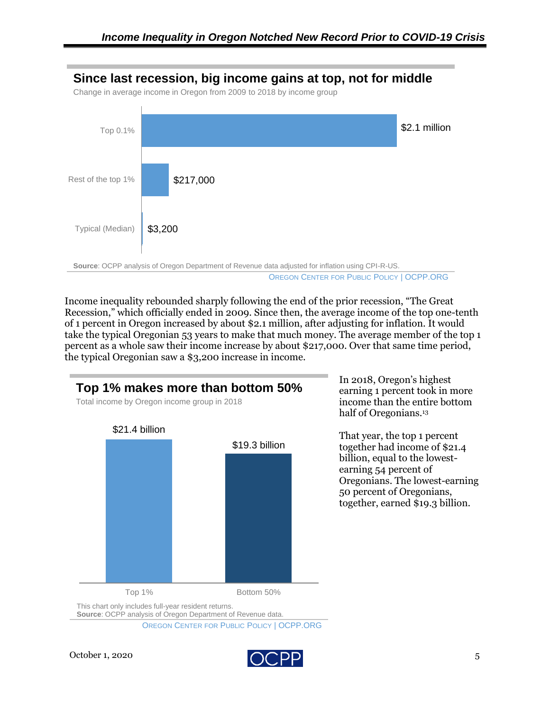

Income inequality rebounded sharply following the end of the prior recession, "The Great Recession," which officially ended in 2009. Since then, the average income of the top one-tenth of 1 percent in Oregon increased by about \$2.1 million, after adjusting for inflation. It would take the typical Oregonian 53 years to make that much money. The average member of the top 1 percent as a whole saw their income increase by about \$217,000. Over that same time period, the typical Oregonian saw a \$3,200 increase in income.



OREGON CENTER FOR PUBLIC POLICY | OCPP.ORG

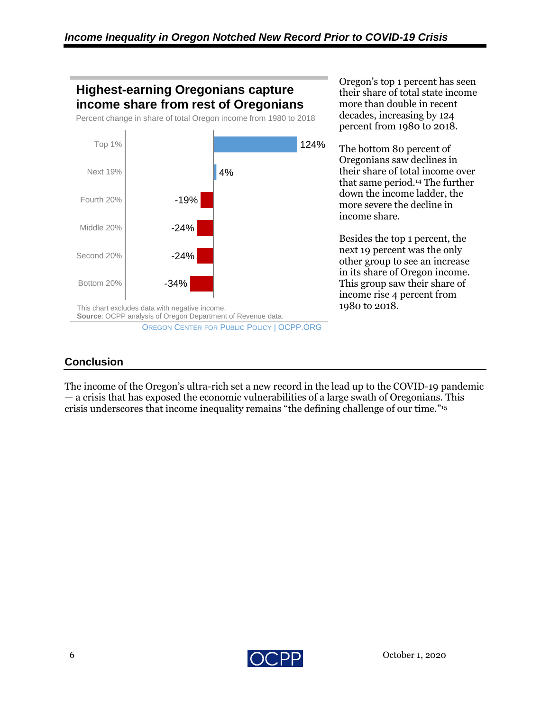

Oregon's top 1 percent has seen their share of total state income more than double in recent decades, increasing by 124 percent from 1980 to 2018.

The bottom 80 percent of Oregonians saw declines in their share of total income over that same period. <sup>14</sup> The further down the income ladder, the more severe the decline in income share.

Besides the top 1 percent, the next 19 percent was the only other group to see an increase in its share of Oregon income. This group saw their share of income rise 4 percent from 1980 to 2018.

### **Conclusion**

The income of the Oregon's ultra-rich set a new record in the lead up to the COVID-19 pandemic — a crisis that has exposed the economic vulnerabilities of a large swath of Oregonians. This crisis underscores that income inequality remains "the defining challenge of our time."<sup>15</sup>

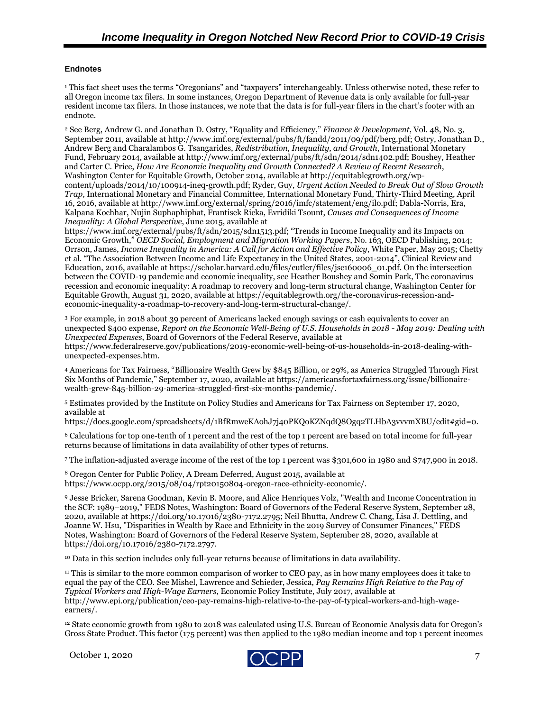#### **Endnotes**

<sup>1</sup> This fact sheet uses the terms "Oregonians" and "taxpayers" interchangeably. Unless otherwise noted, these refer to all Oregon income tax filers. In some instances, Oregon Department of Revenue data is only available for full-year resident income tax filers. In those instances, we note that the data is for full-year filers in the chart's footer with an endnote.

<sup>2</sup> See Berg, Andrew G. and Jonathan D. Ostry, "Equality and Efficiency," *Finance & Development*, Vol. 48, No. 3, September 2011, available at http://www.imf.org/external/pubs/ft/fandd/2011/09/pdf/berg.pdf; Ostry, Jonathan D., Andrew Berg and Charalambos G. Tsangarides, *Redistribution, Inequality, and Growth*, International Monetary Fund, February 2014, available at http://www.imf.org/external/pubs/ft/sdn/2014/sdn1402.pdf; Boushey, Heather and Carter C. Price, *How Are Economic Inequality and Growth Connected? A Review of Recent Research*, Washington Center for Equitable Growth, October 2014, available at http://equitablegrowth.org/wpcontent/uploads/2014/10/100914-ineq-growth.pdf; Ryder, Guy, *Urgent Action Needed to Break Out of Slow Growth Trap*, International Monetary and Financial Committee, International Monetary Fund, Thirty-Third Meeting, April 16, 2016, available at http://www.imf.org/external/spring/2016/imfc/statement/eng/ilo.pdf; Dabla-Norris, Era, Kalpana Kochhar, Nujin Suphaphiphat, Frantisek Ricka, Evridiki Tsount, *Causes and Consequences of Income Inequality: A Global Perspective*, June 2015, available at

https://www.imf.org/external/pubs/ft/sdn/2015/sdn1513.pdf; "Trends in Income Inequality and its Impacts on Economic Growth," *OECD Social, Employment and Migration Working Papers*, No. 163, OECD Publishing, 2014; Orrson, James, *Income Inequality in America: A Call for Action and Effective Policy*, White Paper, May 2015; Chetty et al. "The Association Between Income and Life Expectancy in the United States, 2001-2014", Clinical Review and Education, 2016, available at https://scholar.harvard.edu/files/cutler/files/jsc160006\_01.pdf. On the intersection between the COVID-19 pandemic and economic inequality, see Heather Boushey and Somin Park, The coronavirus recession and economic inequality: A roadmap to recovery and long-term structural change, Washington Center for Equitable Growth, August 31, 2020, available at https://equitablegrowth.org/the-coronavirus-recession-andeconomic-inequality-a-roadmap-to-recovery-and-long-term-structural-change/.

<sup>3</sup> For example, in 2018 about 39 percent of Americans lacked enough savings or cash equivalents to cover an unexpected \$400 expense, *Report on the Economic Well-Being of U.S. Households in 2018 - May 2019: Dealing with Unexpected Expenses*, Board of Governors of the Federal Reserve, available at

https://www.federalreserve.gov/publications/2019-economic-well-being-of-us-households-in-2018-dealing-withunexpected-expenses.htm.

<sup>4</sup> Americans for Tax Fairness, "Billionaire Wealth Grew by \$845 Billion, or 29%, as America Struggled Through First Six Months of Pandemic," September 17, 2020, available at https://americansfortaxfairness.org/issue/billionairewealth-grew-845-billion-29-america-struggled-first-six-months-pandemic/.

<sup>5</sup> Estimates provided by the Institute on Policy Studies and Americans for Tax Fairness on September 17, 2020, available at

https://docs.google.com/spreadsheets/d/1BfRmweKAohJ7j40PKQoKZNqdQ8Ogq2TLHbA3vvvmXBU/edit#gid=0.

<sup>6</sup> Calculations for top one-tenth of 1 percent and the rest of the top 1 percent are based on total income for full-year returns because of limitations in data availability of other types of returns.

<sup>7</sup> The inflation-adjusted average income of the rest of the top 1 percent was \$301,600 in 1980 and \$747,900 in 2018.

<sup>8</sup> Oregon Center for Public Policy, A Dream Deferred, August 2015, available at https://www.ocpp.org/2015/08/04/rpt20150804-oregon-race-ethnicity-economic/.

<sup>9</sup> Jesse Bricker, Sarena Goodman, Kevin B. Moore, and Alice Henriques Volz, "Wealth and Income Concentration in the SCF: 1989–2019," FEDS Notes, Washington: Board of Governors of the Federal Reserve System, September 28, 2020, available at https://doi.org/10.17016/2380-7172.2795; Neil Bhutta, Andrew C. Chang, Lisa J. Dettling, and Joanne W. Hsu, "Disparities in Wealth by Race and Ethnicity in the 2019 Survey of Consumer Finances," FEDS Notes, Washington: Board of Governors of the Federal Reserve System, September 28, 2020, available at https://doi.org/10.17016/2380-7172.2797.

<sup>10</sup> Data in this section includes only full-year returns because of limitations in data availability.

<sup>11</sup> This is similar to the more common comparison of worker to CEO pay, as in how many employees does it take to equal the pay of the CEO. See Mishel, Lawrence and Schieder, Jessica, *Pay Remains High Relative to the Pay of Typical Workers and High-Wage Earners*, Economic Policy Institute, July 2017, available at http://www.epi.org/publication/ceo-pay-remains-high-relative-to-the-pay-of-typical-workers-and-high-wageearners/.

<sup>12</sup> State economic growth from 1980 to 2018 was calculated using U.S. Bureau of Economic Analysis data for Oregon's Gross State Product. This factor (175 percent) was then applied to the 1980 median income and top 1 percent incomes